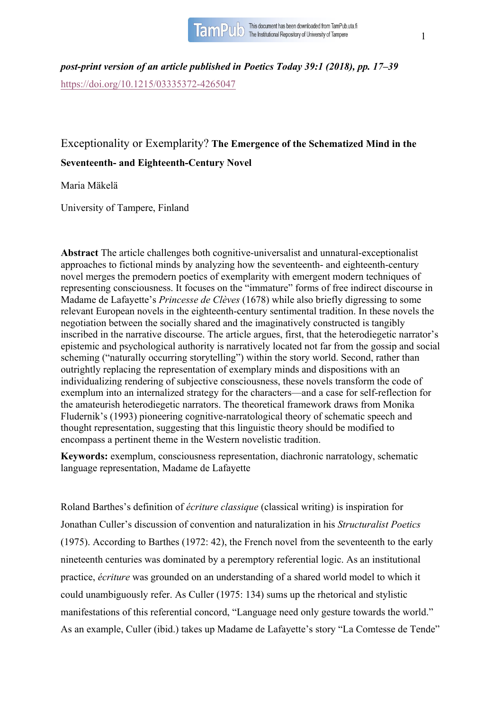

*post-print version of an article published in Poetics Today 39:1 (2018), pp. 17–39* https://doi.org/10.1215/03335372-4265047

# Exceptionality or Exemplarity? **The Emergence of the Schematized Mind in the Seventeenth- and Eighteenth-Century Novel**

Maria Mäkelä

University of Tampere, Finland

**Abstract** The article challenges both cognitive-universalist and unnatural-exceptionalist approaches to fictional minds by analyzing how the seventeenth- and eighteenth-century novel merges the premodern poetics of exemplarity with emergent modern techniques of representing consciousness. It focuses on the "immature" forms of free indirect discourse in Madame de Lafayette's *Princesse de Clèves* (1678) while also briefly digressing to some relevant European novels in the eighteenth-century sentimental tradition. In these novels the negotiation between the socially shared and the imaginatively constructed is tangibly inscribed in the narrative discourse. The article argues, first, that the heterodiegetic narrator's epistemic and psychological authority is narratively located not far from the gossip and social scheming ("naturally occurring storytelling") within the story world. Second, rather than outrightly replacing the representation of exemplary minds and dispositions with an individualizing rendering of subjective consciousness, these novels transform the code of exemplum into an internalized strategy for the characters—and a case for self-reflection for the amateurish heterodiegetic narrators. The theoretical framework draws from Monika Fludernik's (1993) pioneering cognitive-narratological theory of schematic speech and thought representation, suggesting that this linguistic theory should be modified to encompass a pertinent theme in the Western novelistic tradition.

**Keywords:** exemplum, consciousness representation, diachronic narratology, schematic language representation, Madame de Lafayette

Roland Barthes's definition of *écriture classique* (classical writing) is inspiration for Jonathan Culler's discussion of convention and naturalization in his *Structuralist Poetics* (1975). According to Barthes (1972: 42), the French novel from the seventeenth to the early nineteenth centuries was dominated by a peremptory referential logic. As an institutional practice, *écriture* was grounded on an understanding of a shared world model to which it could unambiguously refer. As Culler (1975: 134) sums up the rhetorical and stylistic manifestations of this referential concord, "Language need only gesture towards the world." As an example, Culler (ibid.) takes up Madame de Lafayette's story "La Comtesse de Tende"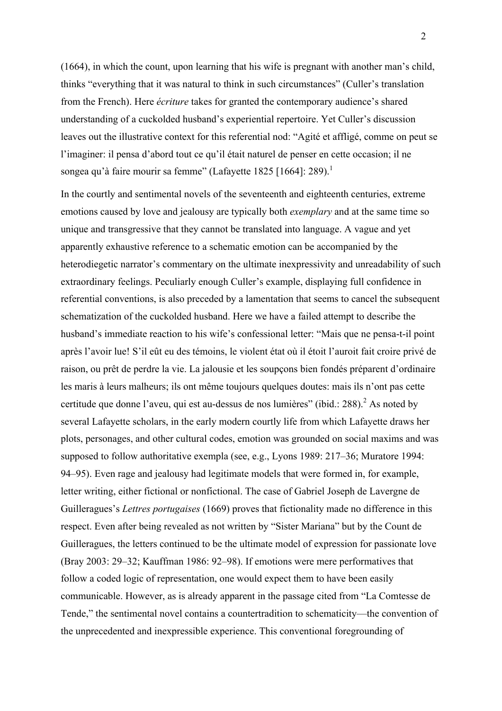(1664), in which the count, upon learning that his wife is pregnant with another man's child, thinks "everything that it was natural to think in such circumstances" (Culler's translation from the French). Here *écriture* takes for granted the contemporary audience's shared understanding of a cuckolded husband's experiential repertoire. Yet Culler's discussion leaves out the illustrative context for this referential nod: "Agité et affligé, comme on peut se l'imaginer: il pensa d'abord tout ce qu'il était naturel de penser en cette occasion; il ne songea qu'à faire mourir sa femme" (Lafayette 1825 [1664]: 289).<sup>1</sup>

In the courtly and sentimental novels of the seventeenth and eighteenth centuries, extreme emotions caused by love and jealousy are typically both *exemplary* and at the same time so unique and transgressive that they cannot be translated into language. A vague and yet apparently exhaustive reference to a schematic emotion can be accompanied by the heterodiegetic narrator's commentary on the ultimate inexpressivity and unreadability of such extraordinary feelings. Peculiarly enough Culler's example, displaying full confidence in referential conventions, is also preceded by a lamentation that seems to cancel the subsequent schematization of the cuckolded husband. Here we have a failed attempt to describe the husband's immediate reaction to his wife's confessional letter: "Mais que ne pensa-t-il point après l'avoir lue! S'il eût eu des témoins, le violent état où il étoit l'auroit fait croire privé de raison, ou prêt de perdre la vie. La jalousie et les soupçons bien fondés préparent d'ordinaire les maris à leurs malheurs; ils ont même toujours quelques doutes: mais ils n'ont pas cette certitude que donne l'aveu, qui est au-dessus de nos lumières" (ibid.: 288). <sup>2</sup> As noted by several Lafayette scholars, in the early modern courtly life from which Lafayette draws her plots, personages, and other cultural codes, emotion was grounded on social maxims and was supposed to follow authoritative exempla (see, e.g., Lyons 1989: 217–36; Muratore 1994: 94–95). Even rage and jealousy had legitimate models that were formed in, for example, letter writing, either fictional or nonfictional. The case of Gabriel Joseph de Lavergne de Guilleragues's *Lettres portugaises* (1669) proves that fictionality made no difference in this respect. Even after being revealed as not written by "Sister Mariana" but by the Count de Guilleragues, the letters continued to be the ultimate model of expression for passionate love (Bray 2003: 29–32; Kauffman 1986: 92–98). If emotions were mere performatives that follow a coded logic of representation, one would expect them to have been easily communicable. However, as is already apparent in the passage cited from "La Comtesse de Tende," the sentimental novel contains a countertradition to schematicity—the convention of the unprecedented and inexpressible experience. This conventional foregrounding of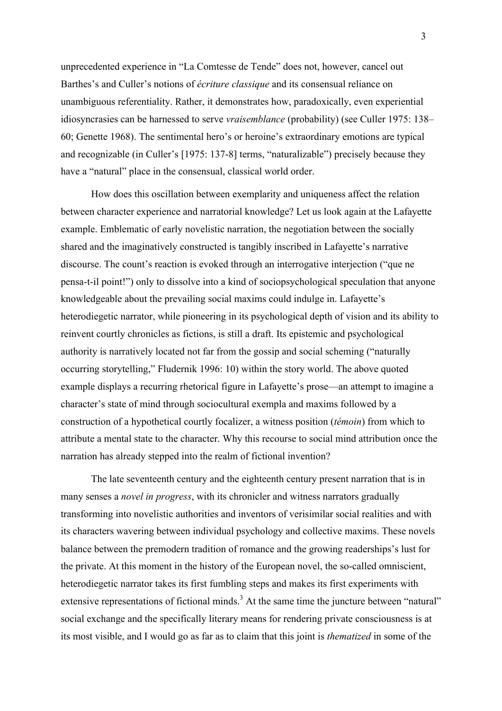unprecedented experience in "La Comtesse de Tende" does not, however, cancel out Barthes's and Culler's notions of *écriture classique* and its consensual reliance on unambiguous referentiality. Rather, it demonstrates how, paradoxically, even experiential idiosyncrasies can be harnessed to serve *vraisemblance* (probability) (see Culler 1975: 138– 60; Genette 1968). The sentimental hero's or heroine's extraordinary emotions are typical and recognizable (in Culler's [1975: 137-8] terms, "naturalizable") precisely because they have a "natural" place in the consensual, classical world order.

How does this oscillation between exemplarity and uniqueness affect the relation between character experience and narratorial knowledge? Let us look again at the Lafayette example. Emblematic of early novelistic narration, the negotiation between the socially shared and the imaginatively constructed is tangibly inscribed in Lafayette's narrative discourse. The count's reaction is evoked through an interrogative interjection ("que ne pensa-t-il point!") only to dissolve into a kind of sociopsychological speculation that anyone knowledgeable about the prevailing social maxims could indulge in. Lafayette's heterodiegetic narrator, while pioneering in its psychological depth of vision and its ability to reinvent courtly chronicles as fictions, is still a draft. Its epistemic and psychological authority is narratively located not far from the gossip and social scheming ("naturally occurring storytelling," Fludernik 1996: 10) within the story world. The above quoted example displays a recurring rhetorical figure in Lafayette's prose—an attempt to imagine a character's state of mind through sociocultural exempla and maxims followed by a construction of a hypothetical courtly focalizer, a witness position (*témoin*) from which to attribute a mental state to the character. Why this recourse to social mind attribution once the narration has already stepped into the realm of fictional invention?

The late seventeenth century and the eighteenth century present narration that is in many senses a *novel in progress*, with its chronicler and witness narrators gradually transforming into novelistic authorities and inventors of verisimilar social realities and with its characters wavering between individual psychology and collective maxims. These novels balance between the premodern tradition of romance and the growing readerships's lust for the private. At this moment in the history of the European novel, the so-called omniscient, heterodiegetic narrator takes its first fumbling steps and makes its first experiments with extensive representations of fictional minds.<sup>3</sup> At the same time the juncture between "natural" social exchange and the specifically literary means for rendering private consciousness is at its most visible, and I would go as far as to claim that this joint is *thematized* in some of the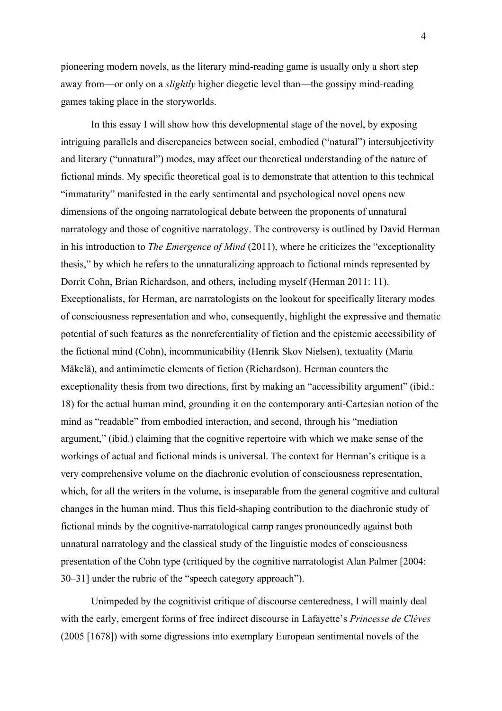pioneering modern novels, as the literary mind-reading game is usually only a short step away from—or only on a *slightly* higher diegetic level than—the gossipy mind-reading games taking place in the storyworlds.

In this essay I will show how this developmental stage of the novel, by exposing intriguing parallels and discrepancies between social, embodied ("natural") intersubjectivity and literary ("unnatural") modes, may affect our theoretical understanding of the nature of fictional minds. My specific theoretical goal is to demonstrate that attention to this technical "immaturity" manifested in the early sentimental and psychological novel opens new dimensions of the ongoing narratological debate between the proponents of unnatural narratology and those of cognitive narratology. The controversy is outlined by David Herman in his introduction to *The Emergence of Mind* (2011), where he criticizes the "exceptionality thesis," by which he refers to the unnaturalizing approach to fictional minds represented by Dorrit Cohn, Brian Richardson, and others, including myself (Herman 2011: 11). Exceptionalists, for Herman, are narratologists on the lookout for specifically literary modes of consciousness representation and who, consequently, highlight the expressive and thematic potential of such features as the nonreferentiality of fiction and the epistemic accessibility of the fictional mind (Cohn), incommunicability (Henrik Skov Nielsen), textuality (Maria Mäkelä), and antimimetic elements of fiction (Richardson). Herman counters the exceptionality thesis from two directions, first by making an "accessibility argument" (ibid.: 18) for the actual human mind, grounding it on the contemporary anti-Cartesian notion of the mind as "readable" from embodied interaction, and second, through his "mediation argument," (ibid.) claiming that the cognitive repertoire with which we make sense of the workings of actual and fictional minds is universal. The context for Herman's critique is a very comprehensive volume on the diachronic evolution of consciousness representation, which, for all the writers in the volume, is inseparable from the general cognitive and cultural changes in the human mind. Thus this field-shaping contribution to the diachronic study of fictional minds by the cognitive-narratological camp ranges pronouncedly against both unnatural narratology and the classical study of the linguistic modes of consciousness presentation of the Cohn type (critiqued by the cognitive narratologist Alan Palmer [2004: 30–31] under the rubric of the "speech category approach").

Unimpeded by the cognitivist critique of discourse centeredness, I will mainly deal with the early, emergent forms of free indirect discourse in Lafayette's *Princesse de Clèves* (2005 [1678]) with some digressions into exemplary European sentimental novels of the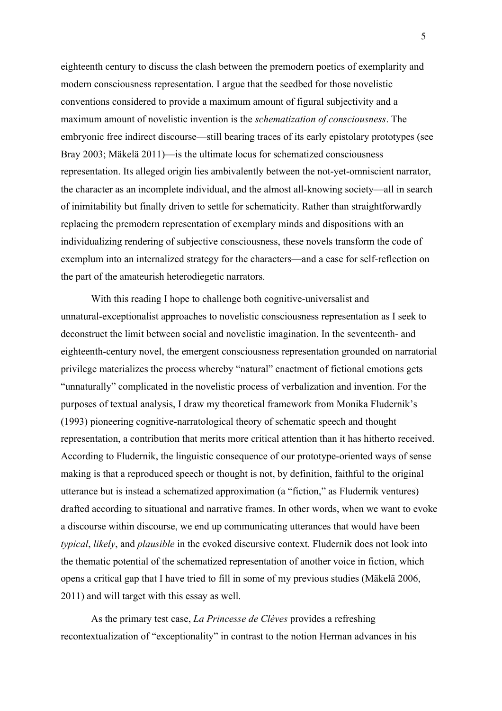eighteenth century to discuss the clash between the premodern poetics of exemplarity and modern consciousness representation. I argue that the seedbed for those novelistic conventions considered to provide a maximum amount of figural subjectivity and a maximum amount of novelistic invention is the *schematization of consciousness*. The embryonic free indirect discourse—still bearing traces of its early epistolary prototypes (see Bray 2003; Mäkelä 2011)—is the ultimate locus for schematized consciousness representation. Its alleged origin lies ambivalently between the not-yet-omniscient narrator, the character as an incomplete individual, and the almost all-knowing society—all in search of inimitability but finally driven to settle for schematicity. Rather than straightforwardly replacing the premodern representation of exemplary minds and dispositions with an individualizing rendering of subjective consciousness, these novels transform the code of exemplum into an internalized strategy for the characters—and a case for self-reflection on the part of the amateurish heterodiegetic narrators.

With this reading I hope to challenge both cognitive-universalist and unnatural-exceptionalist approaches to novelistic consciousness representation as I seek to deconstruct the limit between social and novelistic imagination. In the seventeenth- and eighteenth-century novel, the emergent consciousness representation grounded on narratorial privilege materializes the process whereby "natural" enactment of fictional emotions gets "unnaturally" complicated in the novelistic process of verbalization and invention. For the purposes of textual analysis, I draw my theoretical framework from Monika Fludernik's (1993) pioneering cognitive-narratological theory of schematic speech and thought representation, a contribution that merits more critical attention than it has hitherto received. According to Fludernik, the linguistic consequence of our prototype-oriented ways of sense making is that a reproduced speech or thought is not, by definition, faithful to the original utterance but is instead a schematized approximation (a "fiction," as Fludernik ventures) drafted according to situational and narrative frames. In other words, when we want to evoke a discourse within discourse, we end up communicating utterances that would have been *typical*, *likely*, and *plausible* in the evoked discursive context. Fludernik does not look into the thematic potential of the schematized representation of another voice in fiction, which opens a critical gap that I have tried to fill in some of my previous studies (Mäkelä 2006, 2011) and will target with this essay as well.

As the primary test case, *La Princesse de Clèves* provides a refreshing recontextualization of "exceptionality" in contrast to the notion Herman advances in his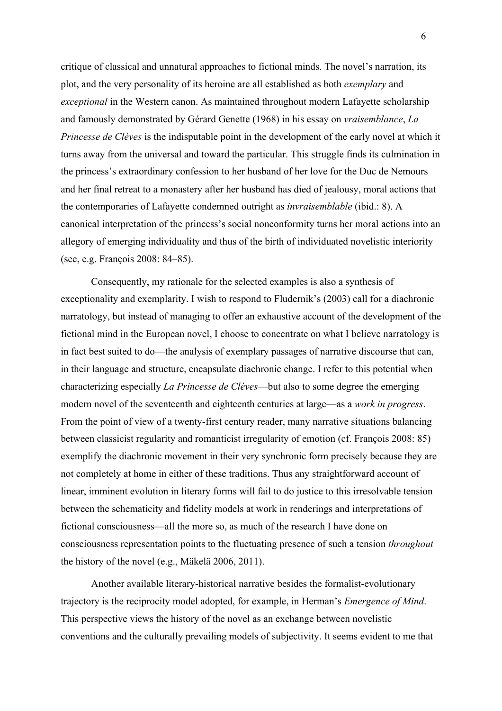critique of classical and unnatural approaches to fictional minds. The novel's narration, its plot, and the very personality of its heroine are all established as both *exemplary* and *exceptional* in the Western canon. As maintained throughout modern Lafayette scholarship and famously demonstrated by Gérard Genette (1968) in his essay on *vraisemblance*, *La Princesse de Clèves* is the indisputable point in the development of the early novel at which it turns away from the universal and toward the particular. This struggle finds its culmination in the princess's extraordinary confession to her husband of her love for the Duc de Nemours and her final retreat to a monastery after her husband has died of jealousy, moral actions that the contemporaries of Lafayette condemned outright as *invraisemblable* (ibid.: 8). A canonical interpretation of the princess's social nonconformity turns her moral actions into an allegory of emerging individuality and thus of the birth of individuated novelistic interiority (see, e.g. François 2008: 84–85).

Consequently, my rationale for the selected examples is also a synthesis of exceptionality and exemplarity. I wish to respond to Fludernik's (2003) call for a diachronic narratology, but instead of managing to offer an exhaustive account of the development of the fictional mind in the European novel, I choose to concentrate on what I believe narratology is in fact best suited to do—the analysis of exemplary passages of narrative discourse that can, in their language and structure, encapsulate diachronic change. I refer to this potential when characterizing especially *La Princesse de Clèves*—but also to some degree the emerging modern novel of the seventeenth and eighteenth centuries at large—as a *work in progress*. From the point of view of a twenty-first century reader, many narrative situations balancing between classicist regularity and romanticist irregularity of emotion (cf. François 2008: 85) exemplify the diachronic movement in their very synchronic form precisely because they are not completely at home in either of these traditions. Thus any straightforward account of linear, imminent evolution in literary forms will fail to do justice to this irresolvable tension between the schematicity and fidelity models at work in renderings and interpretations of fictional consciousness—all the more so, as much of the research I have done on consciousness representation points to the fluctuating presence of such a tension *throughout* the history of the novel (e.g., Mäkelä 2006, 2011).

Another available literary-historical narrative besides the formalist-evolutionary trajectory is the reciprocity model adopted, for example, in Herman's *Emergence of Mind*. This perspective views the history of the novel as an exchange between novelistic conventions and the culturally prevailing models of subjectivity. It seems evident to me that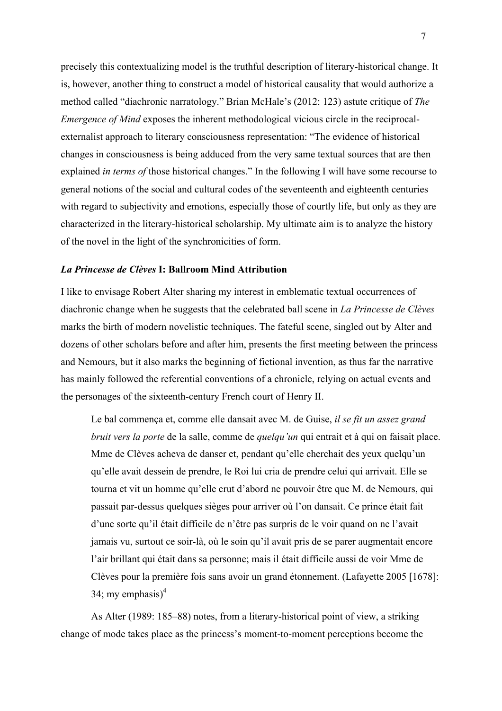precisely this contextualizing model is the truthful description of literary-historical change. It is, however, another thing to construct a model of historical causality that would authorize a method called "diachronic narratology." Brian McHale's (2012: 123) astute critique of *The Emergence of Mind* exposes the inherent methodological vicious circle in the reciprocalexternalist approach to literary consciousness representation: "The evidence of historical changes in consciousness is being adduced from the very same textual sources that are then explained *in terms of* those historical changes." In the following I will have some recourse to general notions of the social and cultural codes of the seventeenth and eighteenth centuries with regard to subjectivity and emotions, especially those of courtly life, but only as they are characterized in the literary-historical scholarship. My ultimate aim is to analyze the history of the novel in the light of the synchronicities of form.

#### *La Princesse de Clèves* **I: Ballroom Mind Attribution**

I like to envisage Robert Alter sharing my interest in emblematic textual occurrences of diachronic change when he suggests that the celebrated ball scene in *La Princesse de Clèves*  marks the birth of modern novelistic techniques. The fateful scene, singled out by Alter and dozens of other scholars before and after him, presents the first meeting between the princess and Nemours, but it also marks the beginning of fictional invention, as thus far the narrative has mainly followed the referential conventions of a chronicle, relying on actual events and the personages of the sixteenth-century French court of Henry II.

Le bal commença et, comme elle dansait avec M. de Guise, *il se fit un assez grand bruit vers la porte* de la salle, comme de *quelqu'un* qui entrait et à qui on faisait place. Mme de Clèves acheva de danser et, pendant qu'elle cherchait des yeux quelqu'un qu'elle avait dessein de prendre, le Roi lui cria de prendre celui qui arrivait. Elle se tourna et vit un homme qu'elle crut d'abord ne pouvoir être que M. de Nemours, qui passait par-dessus quelques sièges pour arriver où l'on dansait. Ce prince était fait d'une sorte qu'il était difficile de n'être pas surpris de le voir quand on ne l'avait jamais vu, surtout ce soir-là, où le soin qu'il avait pris de se parer augmentait encore l'air brillant qui était dans sa personne; mais il était difficile aussi de voir Mme de Clèves pour la première fois sans avoir un grand étonnement. (Lafayette 2005 [1678]: 34; my emphasis $)^4$ 

As Alter (1989: 185–88) notes, from a literary-historical point of view, a striking change of mode takes place as the princess's moment-to-moment perceptions become the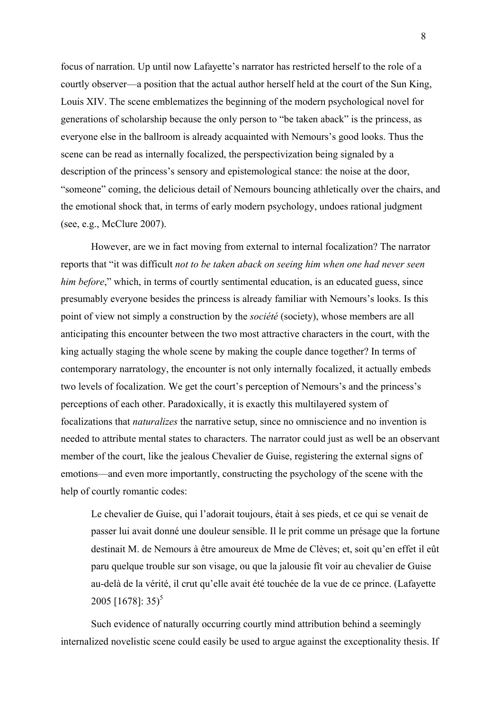focus of narration. Up until now Lafayette's narrator has restricted herself to the role of a courtly observer—a position that the actual author herself held at the court of the Sun King, Louis XIV. The scene emblematizes the beginning of the modern psychological novel for generations of scholarship because the only person to "be taken aback" is the princess, as everyone else in the ballroom is already acquainted with Nemours's good looks. Thus the scene can be read as internally focalized, the perspectivization being signaled by a description of the princess's sensory and epistemological stance: the noise at the door, "someone" coming, the delicious detail of Nemours bouncing athletically over the chairs, and the emotional shock that, in terms of early modern psychology, undoes rational judgment (see, e.g., McClure 2007).

However, are we in fact moving from external to internal focalization? The narrator reports that "it was difficult *not to be taken aback on seeing him when one had never seen him before*," which, in terms of courtly sentimental education, is an educated guess, since presumably everyone besides the princess is already familiar with Nemours's looks. Is this point of view not simply a construction by the *société* (society), whose members are all anticipating this encounter between the two most attractive characters in the court, with the king actually staging the whole scene by making the couple dance together? In terms of contemporary narratology, the encounter is not only internally focalized, it actually embeds two levels of focalization. We get the court's perception of Nemours's and the princess's perceptions of each other. Paradoxically, it is exactly this multilayered system of focalizations that *naturalizes* the narrative setup, since no omniscience and no invention is needed to attribute mental states to characters. The narrator could just as well be an observant member of the court, like the jealous Chevalier de Guise, registering the external signs of emotions—and even more importantly, constructing the psychology of the scene with the help of courtly romantic codes:

Le chevalier de Guise, qui l'adorait toujours, était à ses pieds, et ce qui se venait de passer lui avait donné une douleur sensible. Il le prit comme un présage que la fortune destinait M. de Nemours à être amoureux de Mme de Clèves; et, soit qu'en effet il eût paru quelque trouble sur son visage, ou que la jalousie fît voir au chevalier de Guise au-delà de la vérité, il crut qu'elle avait été touchée de la vue de ce prince. (Lafayette 2005  $[1678]$ : 35)<sup>5</sup>

Such evidence of naturally occurring courtly mind attribution behind a seemingly internalized novelistic scene could easily be used to argue against the exceptionality thesis. If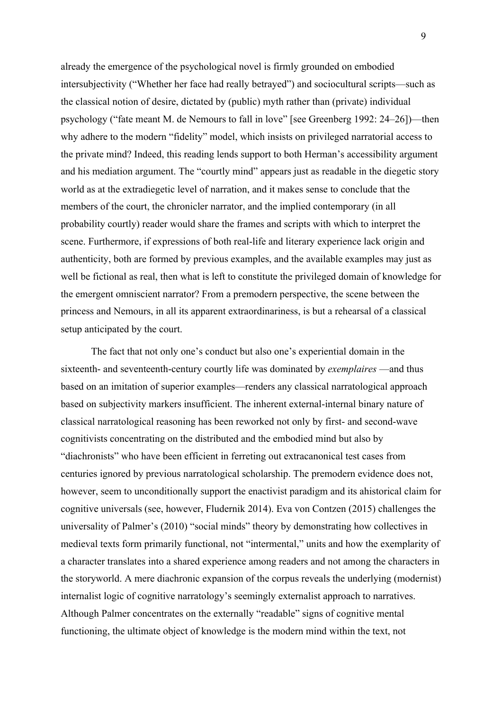already the emergence of the psychological novel is firmly grounded on embodied intersubjectivity ("Whether her face had really betrayed") and sociocultural scripts—such as the classical notion of desire, dictated by (public) myth rather than (private) individual psychology ("fate meant M. de Nemours to fall in love" [see Greenberg 1992: 24–26])—then why adhere to the modern "fidelity" model, which insists on privileged narratorial access to the private mind? Indeed, this reading lends support to both Herman's accessibility argument and his mediation argument. The "courtly mind" appears just as readable in the diegetic story world as at the extradiegetic level of narration, and it makes sense to conclude that the members of the court, the chronicler narrator, and the implied contemporary (in all probability courtly) reader would share the frames and scripts with which to interpret the scene. Furthermore, if expressions of both real-life and literary experience lack origin and authenticity, both are formed by previous examples, and the available examples may just as well be fictional as real, then what is left to constitute the privileged domain of knowledge for the emergent omniscient narrator? From a premodern perspective, the scene between the princess and Nemours, in all its apparent extraordinariness, is but a rehearsal of a classical setup anticipated by the court.

The fact that not only one's conduct but also one's experiential domain in the sixteenth- and seventeenth-century courtly life was dominated by *exemplaires* —and thus based on an imitation of superior examples—renders any classical narratological approach based on subjectivity markers insufficient. The inherent external-internal binary nature of classical narratological reasoning has been reworked not only by first- and second-wave cognitivists concentrating on the distributed and the embodied mind but also by "diachronists" who have been efficient in ferreting out extracanonical test cases from centuries ignored by previous narratological scholarship. The premodern evidence does not, however, seem to unconditionally support the enactivist paradigm and its ahistorical claim for cognitive universals (see, however, Fludernik 2014). Eva von Contzen (2015) challenges the universality of Palmer's (2010) "social minds" theory by demonstrating how collectives in medieval texts form primarily functional, not "intermental," units and how the exemplarity of a character translates into a shared experience among readers and not among the characters in the storyworld. A mere diachronic expansion of the corpus reveals the underlying (modernist) internalist logic of cognitive narratology's seemingly externalist approach to narratives. Although Palmer concentrates on the externally "readable" signs of cognitive mental functioning, the ultimate object of knowledge is the modern mind within the text, not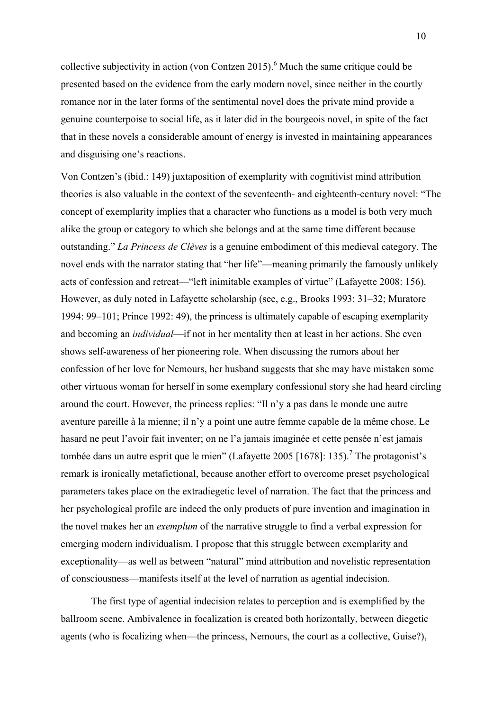collective subjectivity in action (von Contzen 2015).<sup>6</sup> Much the same critique could be presented based on the evidence from the early modern novel, since neither in the courtly romance nor in the later forms of the sentimental novel does the private mind provide a genuine counterpoise to social life, as it later did in the bourgeois novel, in spite of the fact that in these novels a considerable amount of energy is invested in maintaining appearances and disguising one's reactions.

Von Contzen's (ibid.: 149) juxtaposition of exemplarity with cognitivist mind attribution theories is also valuable in the context of the seventeenth- and eighteenth-century novel: "The concept of exemplarity implies that a character who functions as a model is both very much alike the group or category to which she belongs and at the same time different because outstanding." *La Princess de Clèves* is a genuine embodiment of this medieval category. The novel ends with the narrator stating that "her life"—meaning primarily the famously unlikely acts of confession and retreat—"left inimitable examples of virtue" (Lafayette 2008: 156). However, as duly noted in Lafayette scholarship (see, e.g., Brooks 1993: 31–32; Muratore 1994: 99–101; Prince 1992: 49), the princess is ultimately capable of escaping exemplarity and becoming an *individual*—if not in her mentality then at least in her actions. She even shows self-awareness of her pioneering role. When discussing the rumors about her confession of her love for Nemours, her husband suggests that she may have mistaken some other virtuous woman for herself in some exemplary confessional story she had heard circling around the court. However, the princess replies: "Il n'y a pas dans le monde une autre aventure pareille à la mienne; il n'y a point une autre femme capable de la même chose. Le hasard ne peut l'avoir fait inventer; on ne l'a jamais imaginée et cette pensée n'est jamais tombée dans un autre esprit que le mien" (Lafayette 2005 [1678]: 135).<sup>7</sup> The protagonist's remark is ironically metafictional, because another effort to overcome preset psychological parameters takes place on the extradiegetic level of narration. The fact that the princess and her psychological profile are indeed the only products of pure invention and imagination in the novel makes her an *exemplum* of the narrative struggle to find a verbal expression for emerging modern individualism. I propose that this struggle between exemplarity and exceptionality—as well as between "natural" mind attribution and novelistic representation of consciousness—manifests itself at the level of narration as agential indecision.

The first type of agential indecision relates to perception and is exemplified by the ballroom scene. Ambivalence in focalization is created both horizontally, between diegetic agents (who is focalizing when—the princess, Nemours, the court as a collective, Guise?),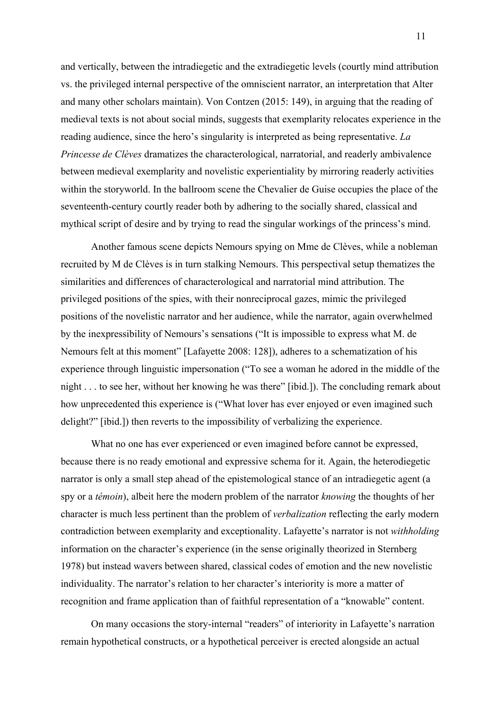and vertically, between the intradiegetic and the extradiegetic levels (courtly mind attribution vs. the privileged internal perspective of the omniscient narrator, an interpretation that Alter and many other scholars maintain). Von Contzen (2015: 149), in arguing that the reading of medieval texts is not about social minds, suggests that exemplarity relocates experience in the reading audience, since the hero's singularity is interpreted as being representative. *La Princesse de Clèves* dramatizes the characterological, narratorial, and readerly ambivalence between medieval exemplarity and novelistic experientiality by mirroring readerly activities within the storyworld. In the ballroom scene the Chevalier de Guise occupies the place of the seventeenth-century courtly reader both by adhering to the socially shared, classical and mythical script of desire and by trying to read the singular workings of the princess's mind.

Another famous scene depicts Nemours spying on Mme de Clèves, while a nobleman recruited by M de Clèves is in turn stalking Nemours. This perspectival setup thematizes the similarities and differences of characterological and narratorial mind attribution. The privileged positions of the spies, with their nonreciprocal gazes, mimic the privileged positions of the novelistic narrator and her audience, while the narrator, again overwhelmed by the inexpressibility of Nemours's sensations ("It is impossible to express what M. de Nemours felt at this moment" [Lafayette 2008: 128]), adheres to a schematization of his experience through linguistic impersonation ("To see a woman he adored in the middle of the night . . . to see her, without her knowing he was there" [ibid.]). The concluding remark about how unprecedented this experience is ("What lover has ever enjoyed or even imagined such delight?" [ibid.]) then reverts to the impossibility of verbalizing the experience.

What no one has ever experienced or even imagined before cannot be expressed, because there is no ready emotional and expressive schema for it. Again, the heterodiegetic narrator is only a small step ahead of the epistemological stance of an intradiegetic agent (a spy or a *témoin*), albeit here the modern problem of the narrator *knowing* the thoughts of her character is much less pertinent than the problem of *verbalization* reflecting the early modern contradiction between exemplarity and exceptionality. Lafayette's narrator is not *withholding* information on the character's experience (in the sense originally theorized in Sternberg 1978) but instead wavers between shared, classical codes of emotion and the new novelistic individuality. The narrator's relation to her character's interiority is more a matter of recognition and frame application than of faithful representation of a "knowable" content.

On many occasions the story-internal "readers" of interiority in Lafayette's narration remain hypothetical constructs, or a hypothetical perceiver is erected alongside an actual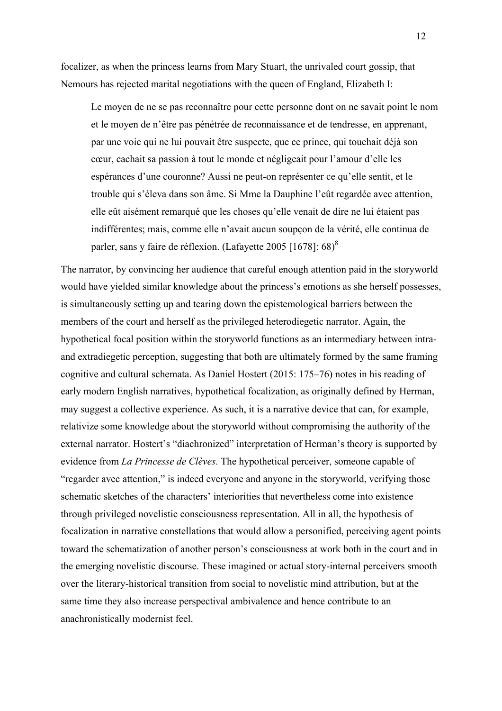focalizer, as when the princess learns from Mary Stuart, the unrivaled court gossip, that Nemours has rejected marital negotiations with the queen of England, Elizabeth I:

Le moyen de ne se pas reconnaître pour cette personne dont on ne savait point le nom et le moyen de n'être pas pénétrée de reconnaissance et de tendresse, en apprenant, par une voie qui ne lui pouvait être suspecte, que ce prince, qui touchait déjà son cœur, cachait sa passion à tout le monde et négligeait pour l'amour d'elle les espérances d'une couronne? Aussi ne peut-on représenter ce qu'elle sentit, et le trouble qui s'éleva dans son âme. Si Mme la Dauphine l'eût regardée avec attention, elle eût aisément remarqué que les choses qu'elle venait de dire ne lui étaient pas indifférentes; mais, comme elle n'avait aucun soupçon de la vérité, elle continua de parler, sans y faire de réflexion. (Lafayette 2005 [1678]: 68)<sup>8</sup>

The narrator, by convincing her audience that careful enough attention paid in the storyworld would have yielded similar knowledge about the princess's emotions as she herself possesses, is simultaneously setting up and tearing down the epistemological barriers between the members of the court and herself as the privileged heterodiegetic narrator. Again, the hypothetical focal position within the storyworld functions as an intermediary between intraand extradiegetic perception, suggesting that both are ultimately formed by the same framing cognitive and cultural schemata. As Daniel Hostert (2015: 175–76) notes in his reading of early modern English narratives, hypothetical focalization, as originally defined by Herman, may suggest a collective experience. As such, it is a narrative device that can, for example, relativize some knowledge about the storyworld without compromising the authority of the external narrator. Hostert's "diachronized" interpretation of Herman's theory is supported by evidence from *La Princesse de Clèves*. The hypothetical perceiver, someone capable of "regarder avec attention," is indeed everyone and anyone in the storyworld, verifying those schematic sketches of the characters' interiorities that nevertheless come into existence through privileged novelistic consciousness representation. All in all, the hypothesis of focalization in narrative constellations that would allow a personified, perceiving agent points toward the schematization of another person's consciousness at work both in the court and in the emerging novelistic discourse. These imagined or actual story-internal perceivers smooth over the literary-historical transition from social to novelistic mind attribution, but at the same time they also increase perspectival ambivalence and hence contribute to an anachronistically modernist feel.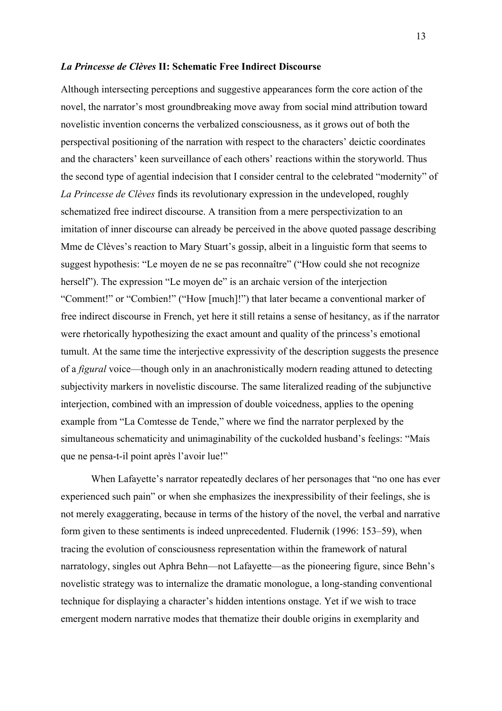### *La Princesse de Clèves* **II: Schematic Free Indirect Discourse**

Although intersecting perceptions and suggestive appearances form the core action of the novel, the narrator's most groundbreaking move away from social mind attribution toward novelistic invention concerns the verbalized consciousness, as it grows out of both the perspectival positioning of the narration with respect to the characters' deictic coordinates and the characters' keen surveillance of each others' reactions within the storyworld. Thus the second type of agential indecision that I consider central to the celebrated "modernity" of *La Princesse de Clèves* finds its revolutionary expression in the undeveloped, roughly schematized free indirect discourse. A transition from a mere perspectivization to an imitation of inner discourse can already be perceived in the above quoted passage describing Mme de Clèves's reaction to Mary Stuart's gossip, albeit in a linguistic form that seems to suggest hypothesis: "Le moyen de ne se pas reconnaître" ("How could she not recognize herself"). The expression "Le moyen de" is an archaic version of the interjection "Comment!" or "Combien!" ("How [much]!") that later became a conventional marker of free indirect discourse in French, yet here it still retains a sense of hesitancy, as if the narrator were rhetorically hypothesizing the exact amount and quality of the princess's emotional tumult. At the same time the interjective expressivity of the description suggests the presence of a *figural* voice—though only in an anachronistically modern reading attuned to detecting subjectivity markers in novelistic discourse. The same literalized reading of the subjunctive interjection, combined with an impression of double voicedness, applies to the opening example from "La Comtesse de Tende," where we find the narrator perplexed by the simultaneous schematicity and unimaginability of the cuckolded husband's feelings: "Mais que ne pensa-t-il point après l'avoir lue!"

When Lafayette's narrator repeatedly declares of her personages that "no one has ever experienced such pain" or when she emphasizes the inexpressibility of their feelings, she is not merely exaggerating, because in terms of the history of the novel, the verbal and narrative form given to these sentiments is indeed unprecedented. Fludernik (1996: 153–59), when tracing the evolution of consciousness representation within the framework of natural narratology, singles out Aphra Behn—not Lafayette—as the pioneering figure, since Behn's novelistic strategy was to internalize the dramatic monologue, a long-standing conventional technique for displaying a character's hidden intentions onstage. Yet if we wish to trace emergent modern narrative modes that thematize their double origins in exemplarity and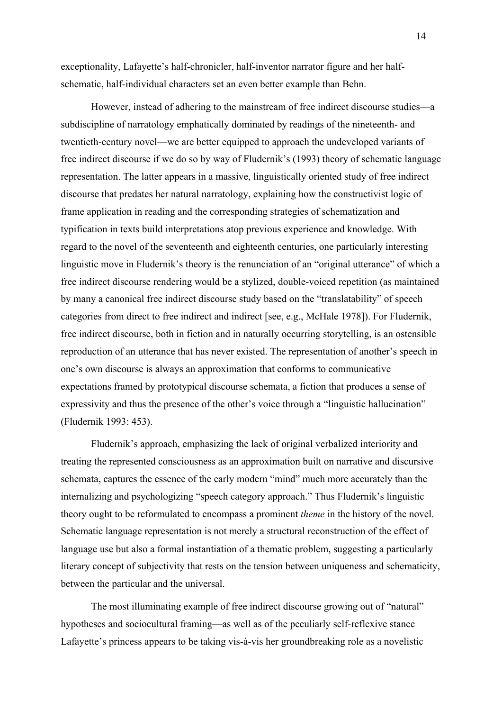exceptionality, Lafayette's half-chronicler, half-inventor narrator figure and her halfschematic, half-individual characters set an even better example than Behn.

However, instead of adhering to the mainstream of free indirect discourse studies—a subdiscipline of narratology emphatically dominated by readings of the nineteenth- and twentieth-century novel—we are better equipped to approach the undeveloped variants of free indirect discourse if we do so by way of Fludernik's (1993) theory of schematic language representation. The latter appears in a massive, linguistically oriented study of free indirect discourse that predates her natural narratology, explaining how the constructivist logic of frame application in reading and the corresponding strategies of schematization and typification in texts build interpretations atop previous experience and knowledge. With regard to the novel of the seventeenth and eighteenth centuries, one particularly interesting linguistic move in Fludernik's theory is the renunciation of an "original utterance" of which a free indirect discourse rendering would be a stylized, double-voiced repetition (as maintained by many a canonical free indirect discourse study based on the "translatability" of speech categories from direct to free indirect and indirect [see, e.g., McHale 1978]). For Fludernik, free indirect discourse, both in fiction and in naturally occurring storytelling, is an ostensible reproduction of an utterance that has never existed. The representation of another's speech in one's own discourse is always an approximation that conforms to communicative expectations framed by prototypical discourse schemata, a fiction that produces a sense of expressivity and thus the presence of the other's voice through a "linguistic hallucination" (Fludernik 1993: 453).

Fludernik's approach, emphasizing the lack of original verbalized interiority and treating the represented consciousness as an approximation built on narrative and discursive schemata, captures the essence of the early modern "mind" much more accurately than the internalizing and psychologizing "speech category approach." Thus Fludernik's linguistic theory ought to be reformulated to encompass a prominent *theme* in the history of the novel. Schematic language representation is not merely a structural reconstruction of the effect of language use but also a formal instantiation of a thematic problem, suggesting a particularly literary concept of subjectivity that rests on the tension between uniqueness and schematicity, between the particular and the universal.

The most illuminating example of free indirect discourse growing out of "natural" hypotheses and sociocultural framing—as well as of the peculiarly self-reflexive stance Lafayette's princess appears to be taking vis-à-vis her groundbreaking role as a novelistic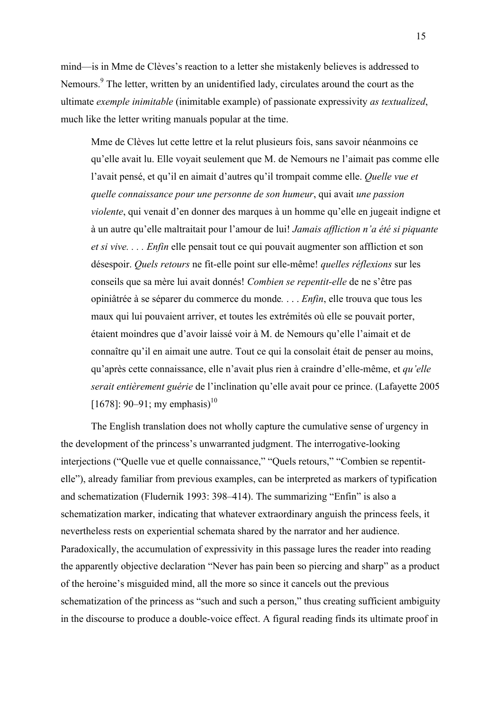mind—is in Mme de Clèves's reaction to a letter she mistakenly believes is addressed to Nemours.<sup>9</sup> The letter, written by an unidentified lady, circulates around the court as the ultimate *exemple inimitable* (inimitable example) of passionate expressivity *as textualized*, much like the letter writing manuals popular at the time.

Mme de Clèves lut cette lettre et la relut plusieurs fois, sans savoir néanmoins ce qu'elle avait lu. Elle voyait seulement que M. de Nemours ne l'aimait pas comme elle l'avait pensé, et qu'il en aimait d'autres qu'il trompait comme elle. *Quelle vue et quelle connaissance pour une personne de son humeur*, qui avait *une passion violente*, qui venait d'en donner des marques à un homme qu'elle en jugeait indigne et à un autre qu'elle maltraitait pour l'amour de lui! *Jamais affliction n'a été si piquante et si vive. . . . Enfin* elle pensait tout ce qui pouvait augmenter son affliction et son désespoir. *Quels retours* ne fit-elle point sur elle-même! *quelles réflexions* sur les conseils que sa mère lui avait donnés! *Combien se repentit-elle* de ne s'être pas opiniâtrée à se séparer du commerce du monde*.* . . . *Enfin*, elle trouva que tous les maux qui lui pouvaient arriver, et toutes les extrémités où elle se pouvait porter, étaient moindres que d'avoir laissé voir à M. de Nemours qu'elle l'aimait et de connaître qu'il en aimait une autre. Tout ce qui la consolait était de penser au moins, qu'après cette connaissance, elle n'avait plus rien à craindre d'elle-même, et *qu'elle serait entièrement guérie* de l'inclination qu'elle avait pour ce prince. (Lafayette 2005  $[1678]$ : 90–91; my emphasis)<sup>10</sup>

The English translation does not wholly capture the cumulative sense of urgency in the development of the princess's unwarranted judgment. The interrogative-looking interjections ("Quelle vue et quelle connaissance," "Quels retours," "Combien se repentitelle"), already familiar from previous examples, can be interpreted as markers of typification and schematization (Fludernik 1993: 398–414). The summarizing "Enfin" is also a schematization marker, indicating that whatever extraordinary anguish the princess feels, it nevertheless rests on experiential schemata shared by the narrator and her audience. Paradoxically, the accumulation of expressivity in this passage lures the reader into reading the apparently objective declaration "Never has pain been so piercing and sharp" as a product of the heroine's misguided mind, all the more so since it cancels out the previous schematization of the princess as "such and such a person," thus creating sufficient ambiguity in the discourse to produce a double-voice effect. A figural reading finds its ultimate proof in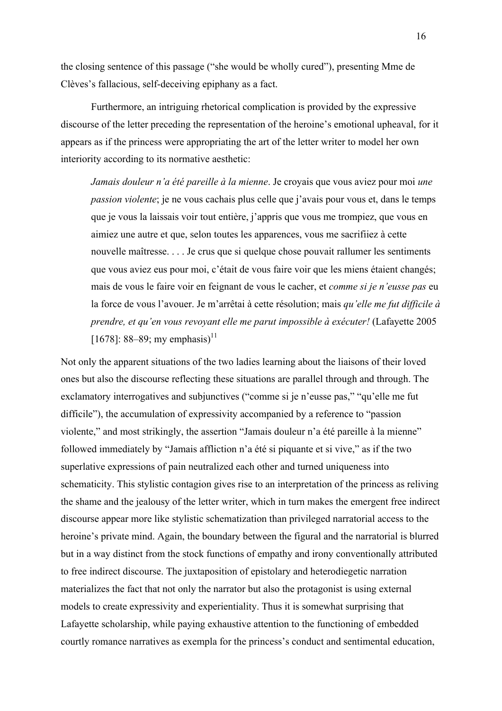the closing sentence of this passage ("she would be wholly cured"), presenting Mme de Clèves's fallacious, self-deceiving epiphany as a fact.

Furthermore, an intriguing rhetorical complication is provided by the expressive discourse of the letter preceding the representation of the heroine's emotional upheaval, for it appears as if the princess were appropriating the art of the letter writer to model her own interiority according to its normative aesthetic:

*Jamais douleur n'a été pareille à la mienne*. Je croyais que vous aviez pour moi *une passion violente*; je ne vous cachais plus celle que j'avais pour vous et, dans le temps que je vous la laissais voir tout entière, j'appris que vous me trompiez, que vous en aimiez une autre et que, selon toutes les apparences, vous me sacrifiiez à cette nouvelle maîtresse. . . . Je crus que si quelque chose pouvait rallumer les sentiments que vous aviez eus pour moi, c'était de vous faire voir que les miens étaient changés; mais de vous le faire voir en feignant de vous le cacher, et *comme si je n'eusse pas* eu la force de vous l'avouer. Je m'arrêtai à cette résolution; mais *qu'elle me fut difficile à prendre, et qu'en vous revoyant elle me parut impossible à exécuter!* (Lafayette 2005 [1678]: 88–89; my emphasis)<sup>11</sup>

Not only the apparent situations of the two ladies learning about the liaisons of their loved ones but also the discourse reflecting these situations are parallel through and through. The exclamatory interrogatives and subjunctives ("comme si je n'eusse pas," "qu'elle me fut difficile"), the accumulation of expressivity accompanied by a reference to "passion violente," and most strikingly, the assertion "Jamais douleur n'a été pareille à la mienne" followed immediately by "Jamais affliction n'a été si piquante et si vive," as if the two superlative expressions of pain neutralized each other and turned uniqueness into schematicity. This stylistic contagion gives rise to an interpretation of the princess as reliving the shame and the jealousy of the letter writer, which in turn makes the emergent free indirect discourse appear more like stylistic schematization than privileged narratorial access to the heroine's private mind. Again, the boundary between the figural and the narratorial is blurred but in a way distinct from the stock functions of empathy and irony conventionally attributed to free indirect discourse. The juxtaposition of epistolary and heterodiegetic narration materializes the fact that not only the narrator but also the protagonist is using external models to create expressivity and experientiality. Thus it is somewhat surprising that Lafayette scholarship, while paying exhaustive attention to the functioning of embedded courtly romance narratives as exempla for the princess's conduct and sentimental education,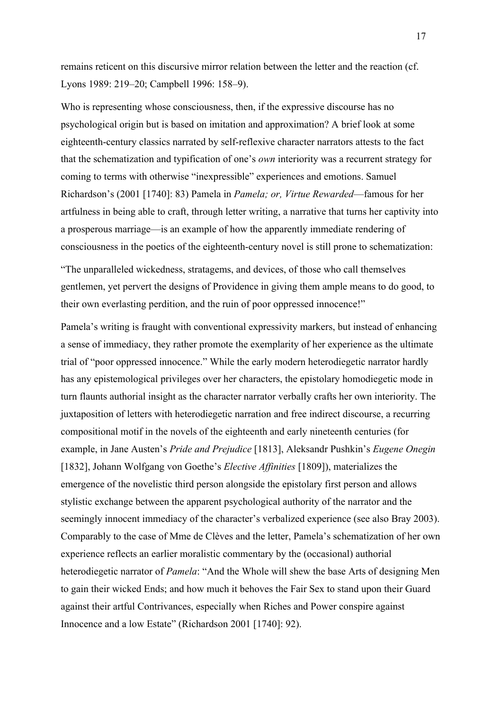remains reticent on this discursive mirror relation between the letter and the reaction (cf. Lyons 1989: 219–20; Campbell 1996: 158–9).

Who is representing whose consciousness, then, if the expressive discourse has no psychological origin but is based on imitation and approximation? A brief look at some eighteenth-century classics narrated by self-reflexive character narrators attests to the fact that the schematization and typification of one's *own* interiority was a recurrent strategy for coming to terms with otherwise "inexpressible" experiences and emotions. Samuel Richardson's (2001 [1740]: 83) Pamela in *Pamela; or, Virtue Rewarded*—famous for her artfulness in being able to craft, through letter writing, a narrative that turns her captivity into a prosperous marriage—is an example of how the apparently immediate rendering of consciousness in the poetics of the eighteenth-century novel is still prone to schematization:

"The unparalleled wickedness, stratagems, and devices, of those who call themselves gentlemen, yet pervert the designs of Providence in giving them ample means to do good, to their own everlasting perdition, and the ruin of poor oppressed innocence!"

Pamela's writing is fraught with conventional expressivity markers, but instead of enhancing a sense of immediacy, they rather promote the exemplarity of her experience as the ultimate trial of "poor oppressed innocence." While the early modern heterodiegetic narrator hardly has any epistemological privileges over her characters, the epistolary homodiegetic mode in turn flaunts authorial insight as the character narrator verbally crafts her own interiority. The juxtaposition of letters with heterodiegetic narration and free indirect discourse, a recurring compositional motif in the novels of the eighteenth and early nineteenth centuries (for example, in Jane Austen's *Pride and Prejudice* [1813], Aleksandr Pushkin's *Eugene Onegin* [1832], Johann Wolfgang von Goethe's *Elective Affinities* [1809]), materializes the emergence of the novelistic third person alongside the epistolary first person and allows stylistic exchange between the apparent psychological authority of the narrator and the seemingly innocent immediacy of the character's verbalized experience (see also Bray 2003). Comparably to the case of Mme de Clèves and the letter, Pamela's schematization of her own experience reflects an earlier moralistic commentary by the (occasional) authorial heterodiegetic narrator of *Pamela*: "And the Whole will shew the base Arts of designing Men to gain their wicked Ends; and how much it behoves the Fair Sex to stand upon their Guard against their artful Contrivances, especially when Riches and Power conspire against Innocence and a low Estate" (Richardson 2001 [1740]: 92).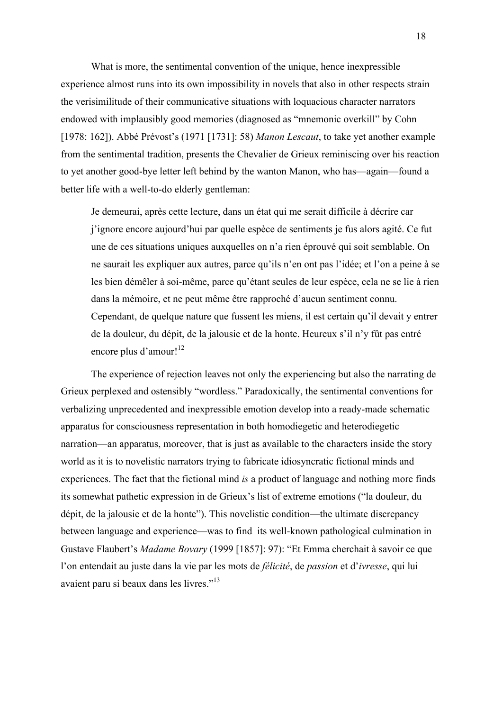What is more, the sentimental convention of the unique, hence inexpressible experience almost runs into its own impossibility in novels that also in other respects strain the verisimilitude of their communicative situations with loquacious character narrators endowed with implausibly good memories (diagnosed as "mnemonic overkill" by Cohn [1978: 162]). Abbé Prévost's (1971 [1731]: 58) *Manon Lescaut*, to take yet another example from the sentimental tradition, presents the Chevalier de Grieux reminiscing over his reaction to yet another good-bye letter left behind by the wanton Manon, who has—again—found a better life with a well-to-do elderly gentleman:

Je demeurai, après cette lecture, dans un état qui me serait difficile à décrire car j'ignore encore aujourd'hui par quelle espèce de sentiments je fus alors agité. Ce fut une de ces situations uniques auxquelles on n'a rien éprouvé qui soit semblable. On ne saurait les expliquer aux autres, parce qu'ils n'en ont pas l'idée; et l'on a peine à se les bien démêler à soi-même, parce qu'étant seules de leur espèce, cela ne se lie à rien dans la mémoire, et ne peut même être rapproché d'aucun sentiment connu. Cependant, de quelque nature que fussent les miens, il est certain qu'il devait y entrer de la douleur, du dépit, de la jalousie et de la honte. Heureux s'il n'y fût pas entré encore plus d'amour!<sup>12</sup>

The experience of rejection leaves not only the experiencing but also the narrating de Grieux perplexed and ostensibly "wordless." Paradoxically, the sentimental conventions for verbalizing unprecedented and inexpressible emotion develop into a ready-made schematic apparatus for consciousness representation in both homodiegetic and heterodiegetic narration—an apparatus, moreover, that is just as available to the characters inside the story world as it is to novelistic narrators trying to fabricate idiosyncratic fictional minds and experiences. The fact that the fictional mind *is* a product of language and nothing more finds its somewhat pathetic expression in de Grieux's list of extreme emotions ("la douleur, du dépit, de la jalousie et de la honte"). This novelistic condition—the ultimate discrepancy between language and experience—was to find its well-known pathological culmination in Gustave Flaubert's *Madame Bovary* (1999 [1857]: 97): "Et Emma cherchait à savoir ce que l'on entendait au juste dans la vie par les mots de *félicité*, de *passion* et d'*ivresse*, qui lui avaient paru si beaux dans les livres."<sup>13</sup>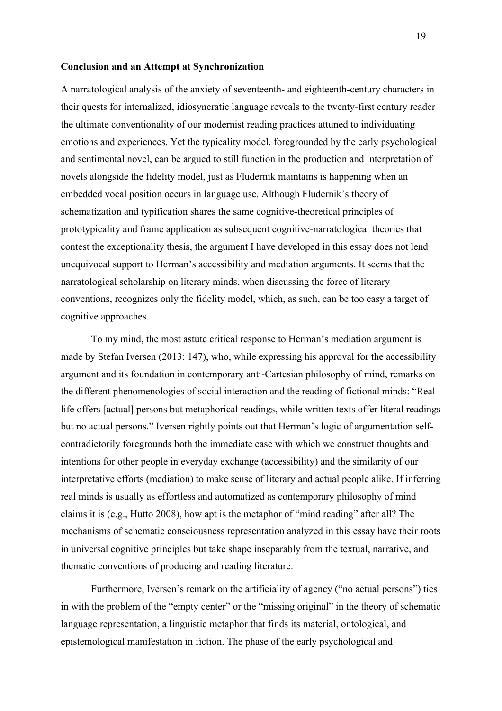#### **Conclusion and an Attempt at Synchronization**

A narratological analysis of the anxiety of seventeenth- and eighteenth-century characters in their quests for internalized, idiosyncratic language reveals to the twenty-first century reader the ultimate conventionality of our modernist reading practices attuned to individuating emotions and experiences. Yet the typicality model, foregrounded by the early psychological and sentimental novel, can be argued to still function in the production and interpretation of novels alongside the fidelity model, just as Fludernik maintains is happening when an embedded vocal position occurs in language use. Although Fludernik's theory of schematization and typification shares the same cognitive-theoretical principles of prototypicality and frame application as subsequent cognitive-narratological theories that contest the exceptionality thesis, the argument I have developed in this essay does not lend unequivocal support to Herman's accessibility and mediation arguments. It seems that the narratological scholarship on literary minds, when discussing the force of literary conventions, recognizes only the fidelity model, which, as such, can be too easy a target of cognitive approaches.

To my mind, the most astute critical response to Herman's mediation argument is made by Stefan Iversen (2013: 147), who, while expressing his approval for the accessibility argument and its foundation in contemporary anti-Cartesian philosophy of mind, remarks on the different phenomenologies of social interaction and the reading of fictional minds: "Real life offers [actual] persons but metaphorical readings, while written texts offer literal readings but no actual persons." Iversen rightly points out that Herman's logic of argumentation selfcontradictorily foregrounds both the immediate ease with which we construct thoughts and intentions for other people in everyday exchange (accessibility) and the similarity of our interpretative efforts (mediation) to make sense of literary and actual people alike. If inferring real minds is usually as effortless and automatized as contemporary philosophy of mind claims it is (e.g., Hutto 2008), how apt is the metaphor of "mind reading" after all? The mechanisms of schematic consciousness representation analyzed in this essay have their roots in universal cognitive principles but take shape inseparably from the textual, narrative, and thematic conventions of producing and reading literature.

Furthermore, Iversen's remark on the artificiality of agency ("no actual persons") ties in with the problem of the "empty center" or the "missing original" in the theory of schematic language representation, a linguistic metaphor that finds its material, ontological, and epistemological manifestation in fiction. The phase of the early psychological and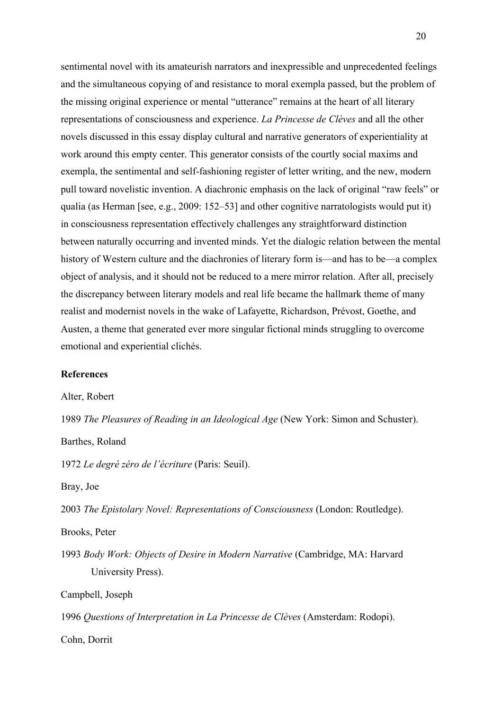sentimental novel with its amateurish narrators and inexpressible and unprecedented feelings and the simultaneous copying of and resistance to moral exempla passed, but the problem of the missing original experience or mental "utterance" remains at the heart of all literary representations of consciousness and experience. *La Princesse de Clèves* and all the other novels discussed in this essay display cultural and narrative generators of experientiality at work around this empty center. This generator consists of the courtly social maxims and exempla, the sentimental and self-fashioning register of letter writing, and the new, modern pull toward novelistic invention. A diachronic emphasis on the lack of original "raw feels" or qualia (as Herman [see, e.g., 2009: 152–53] and other cognitive narratologists would put it) in consciousness representation effectively challenges any straightforward distinction between naturally occurring and invented minds. Yet the dialogic relation between the mental history of Western culture and the diachronies of literary form is—and has to be—a complex object of analysis, and it should not be reduced to a mere mirror relation. After all, precisely the discrepancy between literary models and real life became the hallmark theme of many realist and modernist novels in the wake of Lafayette, Richardson, Prévost, Goethe, and Austen, a theme that generated ever more singular fictional minds struggling to overcome emotional and experiential clichés.

## **References**

Alter, Robert

1989 *The Pleasures of Reading in an Ideological Age* (New York: Simon and Schuster).

Barthes, Roland

1972 *Le degré zéro de l'écriture* (Paris: Seuil).

Bray, Joe

2003 *The Epistolary Novel: Representations of Consciousness* (London: Routledge).

Brooks, Peter

1993 *Body Work: Objects of Desire in Modern Narrative* (Cambridge, MA: Harvard University Press).

Campbell, Joseph

1996 *Questions of Interpretation in La Princesse de Clèves* (Amsterdam: Rodopi).

Cohn, Dorrit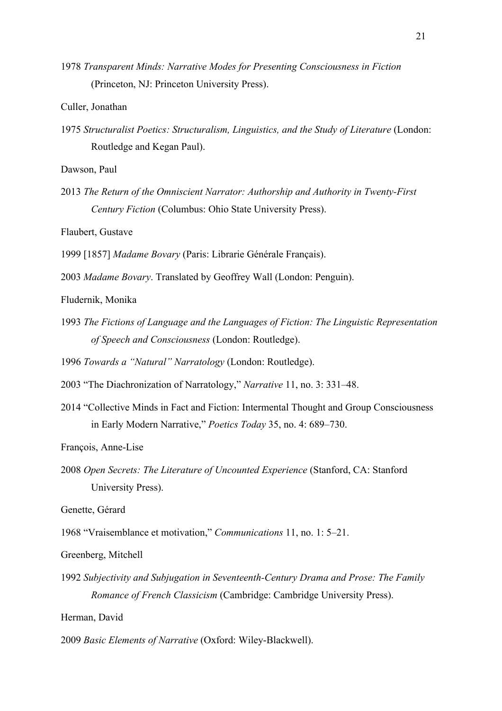1978 *Transparent Minds: Narrative Modes for Presenting Consciousness in Fiction* (Princeton, NJ: Princeton University Press).

Culler, Jonathan

1975 *Structuralist Poetics: Structuralism, Linguistics, and the Study of Literature* (London: Routledge and Kegan Paul).

Dawson, Paul

2013 *The Return of the Omniscient Narrator: Authorship and Authority in Twenty-First Century Fiction* (Columbus: Ohio State University Press).

Flaubert, Gustave

1999 [1857] *Madame Bovary* (Paris: Librarie Générale Français).

2003 *Madame Bovary*. Translated by Geoffrey Wall (London: Penguin).

Fludernik, Monika

1993 *The Fictions of Language and the Languages of Fiction: The Linguistic Representation of Speech and Consciousness* (London: Routledge).

1996 *Towards a "Natural" Narratology* (London: Routledge).

2003 "The Diachronization of Narratology," *Narrative* 11, no. 3: 331–48.

2014 "Collective Minds in Fact and Fiction: Intermental Thought and Group Consciousness in Early Modern Narrative," *Poetics Today* 35, no. 4: 689–730.

François, Anne-Lise

2008 *Open Secrets: The Literature of Uncounted Experience* (Stanford, CA: Stanford University Press).

Genette, Gérard

1968 "Vraisemblance et motivation," *Communications* 11, no. 1: 5–21.

Greenberg, Mitchell

1992 *Subjectivity and Subjugation in Seventeenth-Century Drama and Prose: The Family Romance of French Classicism* (Cambridge: Cambridge University Press).

Herman, David

2009 *Basic Elements of Narrative* (Oxford: Wiley-Blackwell).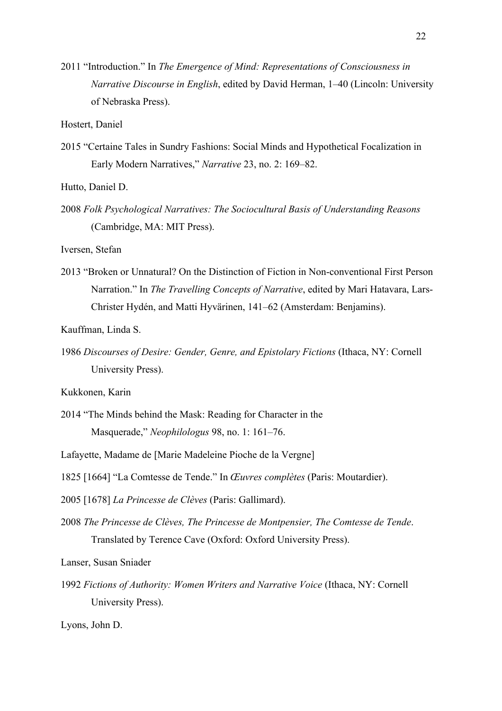2011 "Introduction." In *The Emergence of Mind: Representations of Consciousness in Narrative Discourse in English*, edited by David Herman, 1–40 (Lincoln: University of Nebraska Press).

Hostert, Daniel

2015 "Certaine Tales in Sundry Fashions: Social Minds and Hypothetical Focalization in Early Modern Narratives," *Narrative* 23, no. 2: 169–82.

Hutto, Daniel D.

2008 *Folk Psychological Narratives: The Sociocultural Basis of Understanding Reasons* (Cambridge, MA: MIT Press).

Iversen, Stefan

2013 "Broken or Unnatural? On the Distinction of Fiction in Non-conventional First Person Narration." In *The Travelling Concepts of Narrative*, edited by Mari Hatavara, Lars-Christer Hydén, and Matti Hyvärinen, 141–62 (Amsterdam: Benjamins).

Kauffman, Linda S.

1986 *Discourses of Desire: Gender, Genre, and Epistolary Fictions* (Ithaca, NY: Cornell University Press).

Kukkonen, Karin

2014 "The Minds behind the Mask: Reading for Character in the Masquerade," *Neophilologus* 98, no. 1: 161–76.

Lafayette, Madame de [Marie Madeleine Pioche de la Vergne]

1825 [1664] "La Comtesse de Tende." In *Œuvres complètes* (Paris: Moutardier).

2005 [1678] *La Princesse de Clèves* (Paris: Gallimard).

2008 *The Princesse de Clèves, The Princesse de Montpensier, The Comtesse de Tende*. Translated by Terence Cave (Oxford: Oxford University Press).

Lanser, Susan Sniader

1992 *Fictions of Authority: Women Writers and Narrative Voice* (Ithaca, NY: Cornell University Press).

Lyons, John D.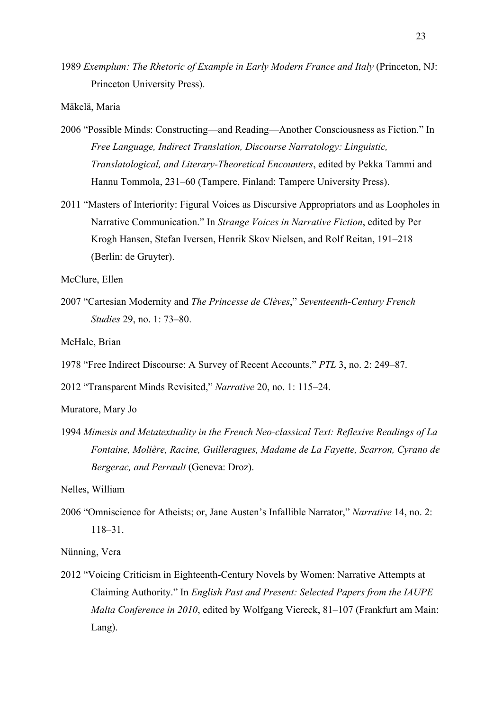1989 *Exemplum: The Rhetoric of Example in Early Modern France and Italy* (Princeton, NJ: Princeton University Press).

Mäkelä, Maria

- 2006 "Possible Minds: Constructing—and Reading—Another Consciousness as Fiction." In *Free Language, Indirect Translation, Discourse Narratology: Linguistic, Translatological, and Literary-Theoretical Encounters*, edited by Pekka Tammi and Hannu Tommola, 231–60 (Tampere, Finland: Tampere University Press).
- 2011 "Masters of Interiority: Figural Voices as Discursive Appropriators and as Loopholes in Narrative Communication." In *Strange Voices in Narrative Fiction*, edited by Per Krogh Hansen, Stefan Iversen, Henrik Skov Nielsen, and Rolf Reitan, 191–218 (Berlin: de Gruyter).

McClure, Ellen

2007 "Cartesian Modernity and *The Princesse de Clèves*," *Seventeenth-Century French Studies* 29, no. 1: 73–80.

McHale, Brian

1978 "Free Indirect Discourse: A Survey of Recent Accounts," *PTL* 3, no. 2: 249–87.

2012 "Transparent Minds Revisited," *Narrative* 20, no. 1: 115–24.

Muratore, Mary Jo

1994 *Mimesis and Metatextuality in the French Neo-classical Text: Reflexive Readings of La Fontaine, Molière, Racine, Guilleragues, Madame de La Fayette, Scarron, Cyrano de Bergerac, and Perrault* (Geneva: Droz).

Nelles, William

2006 "Omniscience for Atheists; or, Jane Austen's Infallible Narrator," *Narrative* 14, no. 2: 118–31.

Nünning, Vera

2012 "Voicing Criticism in Eighteenth-Century Novels by Women: Narrative Attempts at Claiming Authority." In *English Past and Present: Selected Papers from the IAUPE Malta Conference in 2010*, edited by Wolfgang Viereck, 81–107 (Frankfurt am Main: Lang).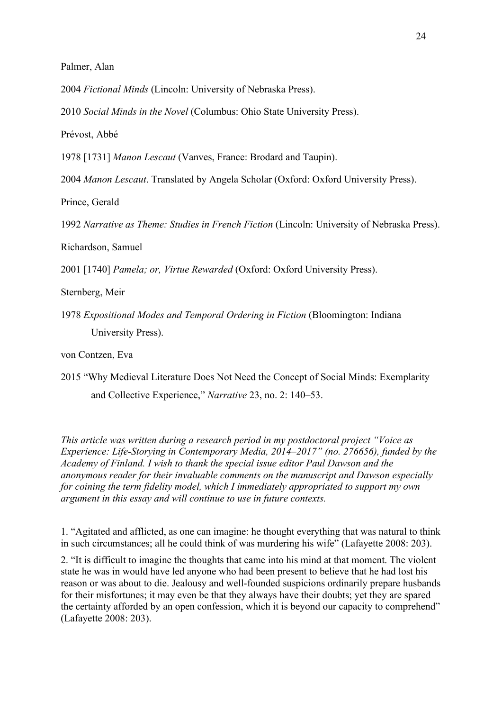Palmer, Alan

2004 *Fictional Minds* (Lincoln: University of Nebraska Press).

2010 *Social Minds in the Novel* (Columbus: Ohio State University Press).

Prévost, Abbé

1978 [1731] *Manon Lescaut* (Vanves, France: Brodard and Taupin).

2004 *Manon Lescaut*. Translated by Angela Scholar (Oxford: Oxford University Press).

Prince, Gerald

1992 *Narrative as Theme: Studies in French Fiction* (Lincoln: University of Nebraska Press).

Richardson, Samuel

2001 [1740] *Pamela; or, Virtue Rewarded* (Oxford: Oxford University Press).

Sternberg, Meir

1978 *Expositional Modes and Temporal Ordering in Fiction* (Bloomington: Indiana University Press).

von Contzen, Eva

2015 "Why Medieval Literature Does Not Need the Concept of Social Minds: Exemplarity and Collective Experience," *Narrative* 23, no. 2: 140–53.

*This article was written during a research period in my postdoctoral project "Voice as Experience: Life-Storying in Contemporary Media, 2014–2017" (no. 276656), funded by the Academy of Finland. I wish to thank the special issue editor Paul Dawson and the anonymous reader for their invaluable comments on the manuscript and Dawson especially for coining the term fidelity model, which I immediately appropriated to support my own argument in this essay and will continue to use in future contexts.*

1. "Agitated and afflicted, as one can imagine: he thought everything that was natural to think in such circumstances; all he could think of was murdering his wife" (Lafayette 2008: 203).

2. "It is difficult to imagine the thoughts that came into his mind at that moment. The violent state he was in would have led anyone who had been present to believe that he had lost his reason or was about to die. Jealousy and well-founded suspicions ordinarily prepare husbands for their misfortunes; it may even be that they always have their doubts; yet they are spared the certainty afforded by an open confession, which it is beyond our capacity to comprehend" (Lafayette 2008: 203).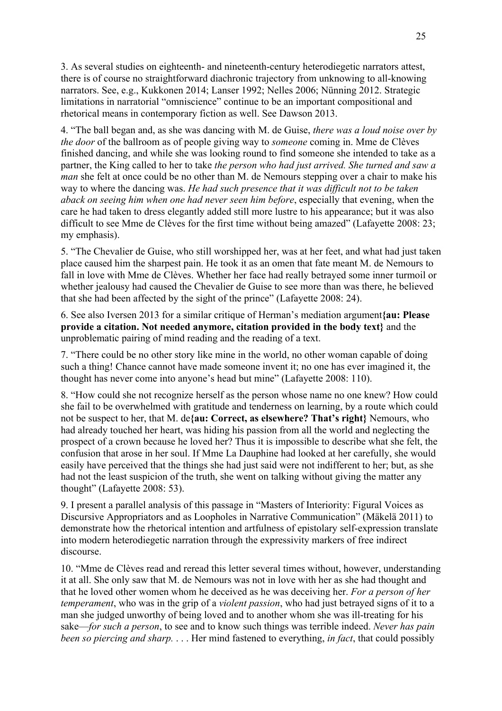3. As several studies on eighteenth- and nineteenth-century heterodiegetic narrators attest, there is of course no straightforward diachronic trajectory from unknowing to all-knowing narrators. See, e.g., Kukkonen 2014; Lanser 1992; Nelles 2006; Nünning 2012. Strategic limitations in narratorial "omniscience" continue to be an important compositional and rhetorical means in contemporary fiction as well. See Dawson 2013.

4. "The ball began and, as she was dancing with M. de Guise, *there was a loud noise over by the door* of the ballroom as of people giving way to *someone* coming in. Mme de Clèves finished dancing, and while she was looking round to find someone she intended to take as a partner, the King called to her to take *the person who had just arrived. She turned and saw a man* she felt at once could be no other than M. de Nemours stepping over a chair to make his way to where the dancing was. *He had such presence that it was difficult not to be taken aback on seeing him when one had never seen him before*, especially that evening, when the care he had taken to dress elegantly added still more lustre to his appearance; but it was also difficult to see Mme de Clèves for the first time without being amazed" (Lafayette 2008: 23; my emphasis).

5. "The Chevalier de Guise, who still worshipped her, was at her feet, and what had just taken place caused him the sharpest pain. He took it as an omen that fate meant M. de Nemours to fall in love with Mme de Clèves. Whether her face had really betrayed some inner turmoil or whether jealousy had caused the Chevalier de Guise to see more than was there, he believed that she had been affected by the sight of the prince" (Lafayette 2008: 24).

6. See also Iversen 2013 for a similar critique of Herman's mediation argument**{au: Please provide a citation. Not needed anymore, citation provided in the body text}** and the unproblematic pairing of mind reading and the reading of a text.

7. "There could be no other story like mine in the world, no other woman capable of doing such a thing! Chance cannot have made someone invent it; no one has ever imagined it, the thought has never come into anyone's head but mine" (Lafayette 2008: 110).

8. "How could she not recognize herself as the person whose name no one knew? How could she fail to be overwhelmed with gratitude and tenderness on learning, by a route which could not be suspect to her, that M. de**{au: Correct, as elsewhere? That's right}** Nemours, who had already touched her heart, was hiding his passion from all the world and neglecting the prospect of a crown because he loved her? Thus it is impossible to describe what she felt, the confusion that arose in her soul. If Mme La Dauphine had looked at her carefully, she would easily have perceived that the things she had just said were not indifferent to her; but, as she had not the least suspicion of the truth, she went on talking without giving the matter any thought" (Lafayette 2008: 53).

9. I present a parallel analysis of this passage in "Masters of Interiority: Figural Voices as Discursive Appropriators and as Loopholes in Narrative Communication" (Mäkelä 2011) to demonstrate how the rhetorical intention and artfulness of epistolary self-expression translate into modern heterodiegetic narration through the expressivity markers of free indirect discourse.

10. "Mme de Clèves read and reread this letter several times without, however, understanding it at all. She only saw that M. de Nemours was not in love with her as she had thought and that he loved other women whom he deceived as he was deceiving her. *For a person of her temperament*, who was in the grip of a *violent passion*, who had just betrayed signs of it to a man she judged unworthy of being loved and to another whom she was ill-treating for his sake—*for such a person*, to see and to know such things was terrible indeed. *Never has pain been so piercing and sharp.* . . . Her mind fastened to everything, *in fact*, that could possibly